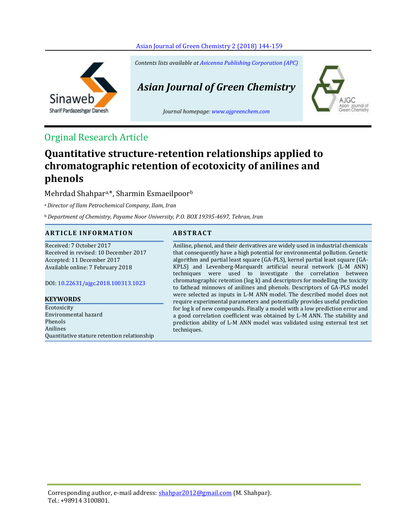

Sinaweb Sharif Pardazeshgar Danesh *Contents lists available at [Avicenna Publishing Corporation \(APC\)](http://www.avicenna.pub/)*

# *Asian Journal of Green Chemistry*

*Journal homepage: [www.ajgreenchem.com](http://www.ajgreenchem.com/)*



# Orginal Research Article

# **Quantitative structure-retention relationships applied to chromatographic retention of ecotoxicity of anilines and phenols**

Mehrdad Shahpara,\*, Sharmin Esmaeilpoor<sup>b</sup>

<sup>a</sup>*Director of Ilam Petrochemical Company, Ilam, Iran*

<sup>b</sup>*Department of Chemistry, Payame Noor University, P.O. BOX 19395-4697, Tehran, Iran*

# **A R T I C L E I N F O R M A T I O N A B S T R A C T**

Received: 7 October 2017 Received in revised: 10 December 2017 Accepted: 11 December 2017 Available online: 7 February 2018

DOI: [10.22631/ajgc.2018.100313.1023](http://www.ajgreenchem.com/article_57478.html)

# **KEYWORDS**

Ecotoxicity Environmental hazard Phenols Anilines Quantitative stature retention relationship

Aniline, phenol, and their derivatives are widely used in industrial chemicals that consequently have a high potential for environmental pollution. Genetic algorithm and partial least square (GA-PLS), kernel partial least square (GA-KPLS) and Levenberg-Marquardt artificial neural network (L-M ANN) techniques were used to investigate the correlation between chromatographic retention (log k) and descriptors for modelling the toxicity to fathead minnows of anilines and phenols. Descriptors of GA-PLS model were selected as inputs in L-M ANN model. The described model does not require experimental parameters and potentially provides useful prediction for log k of new compounds. Finally a model with a low prediction error and a good correlation coefficient was obtained by L-M ANN. The stability and prediction ability of L-M ANN model was validated using external test set techniques.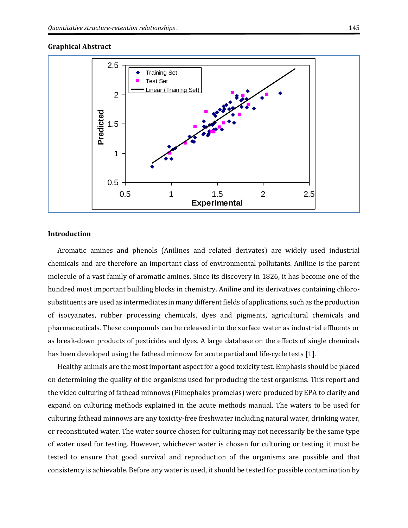#### **Graphical Abstract**



### **Introduction**

Aromatic amines and phenols (Anilines and related derivates) are widely used industrial chemicals and are therefore an important class of environmental pollutants. Aniline is the parent molecule of a vast family of aromatic amines. Since its discovery in 1826, it has become one of the hundred most important building blocks in chemistry. Aniline and its derivatives containing chlorosubstituents are used as intermediates in many different fields of applications, such as the production of isocyanates, rubber processing chemicals, dyes and pigments, agricultural chemicals and pharmaceuticals. These compounds can be released into the surface water as industrial effluents or as break-down products of pesticides and dyes. A large database on the effects of single chemicals has been developed using the fathead minnow for acute partial and life-cycle tests [\[1\]](#page-14-0).

Healthy animals are the most important aspect for a good toxicity test. Emphasis should be placed on determining the quality of the organisms used for producing the test organisms. This report and the video culturing of fathead minnows (Pimephales promelas) were produced by EPA to clarify and expand on culturing methods explained in the acute methods manual. The waters to be used for culturing fathead minnows are any toxicity-free freshwater including natural water, drinking water, or reconstituted water. The water source chosen for culturing may not necessarily be the same type of water used for testing. However, whichever water is chosen for culturing or testing, it must be tested to ensure that good survival and reproduction of the organisms are possible and that consistency is achievable. Before any water is used, it should be tested for possible contamination by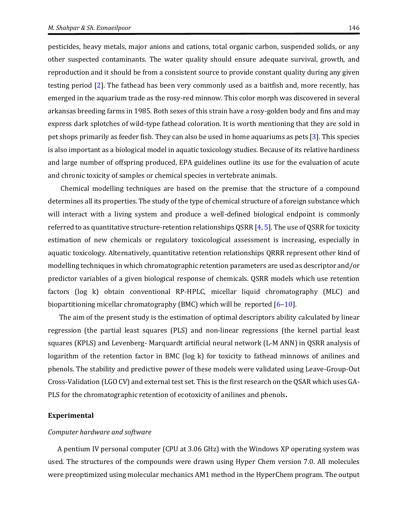pesticides, heavy metals, major anions and cations, total organic carbon, suspended solids, or any other suspected contaminants. The water quality should ensure adequate survival, growth, and reproduction and it should be from a consistent source to provide constant quality during any given testing period [\[2\]](#page-14-1). The fathead has been very commonly used as a [baitfish](https://en.wikipedia.org/wiki/Baitfish) and, more recently, has emerged in the aquarium trade as the rosy-red minnow. This color morph was discovered in several arkansas breeding farms in 1985. Both sexes of this strain have a rosy-golden body and fins and may express dark splotches of wild-type fathead coloration. It is worth mentioning that they are sold in pet shops primarily a[s feeder fish.](https://en.wikipedia.org/wiki/Feeder_fish) They can also be used in home aquariums a[s pets](https://en.wikipedia.org/wiki/Pet) [\[3\]](#page-14-2). This species is also important as a biological model in aquatic toxicology studies. Because of its relative hardiness and large number of offspring produced, EPA guidelines outline its use for the evaluation of acute and chronic toxicity of samples or chemical species in vertebrate animals.

 Chemical modelling techniques are based on the premise that the structure of a compound determines all its properties. The study of the type of chemical structure of a foreign substance which will interact with a living system and produce a well-defined biological endpoint is commonly referred to as quantitative structure-retention relationships QSRR [\[4,](#page-14-3) [5\]](#page-14-4). The use of QSRR for toxicity estimation of new chemicals or regulatory toxicological assessment is increasing, especially in aquatic toxicology. Alternatively, quantitative retention relationships QRRR represent other kind of modelling techniques in which chromatographic retention parameters are used as descriptor and/or predictor variables of a given biological response of chemicals. QSRR models which use retention factors (log k) obtain conventional RP-HPLC, micellar liquid chromatography (MLC) and biopartitioning micellar chromatography (BMC) which will be reported  $[6-10]$  $[6-10]$  $[6-10]$ .

The aim of the present study is the estimation of optimal descriptors ability calculated by linear regression (the partial least squares (PLS) and non-linear regressions (the kernel partial least squares (KPLS) and Levenberg- Marquardt artificial neural network (L-M ANN) in QSRR analysis of logarithm of the retention factor in BMC (log k) for toxicity to fathead minnows of anilines and phenols. The stability and predictive power of these models were validated using Leave-Group-Out Cross-Validation (LGO CV) and external test set. This is the first research on the QSAR which uses GA-PLS for the chromatographic retention of ecotoxicity of anilines and phenols**.**

#### **Experimental**

#### *Computer hardware and software*

A pentium IV personal computer (CPU at 3.06 GHz) with the Windows XP operating system was used. The structures of the compounds were drawn using Hyper Chem version 7.0. All molecules were preoptimized using molecular mechanics AM1 method in the HyperChem program. The output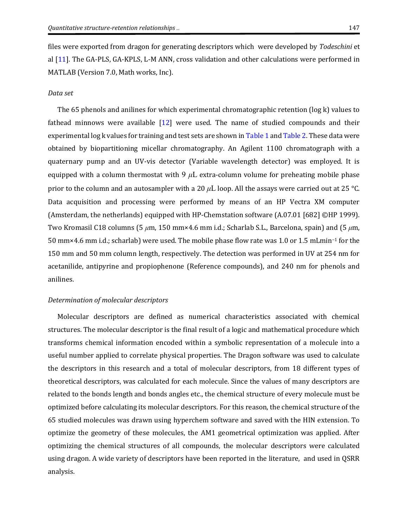files were exported from dragon for generating descriptors which were developed by *Todeschini* et al [\[11\]](#page-15-1). The GA-PLS, GA-KPLS, L-M ANN, cross validation and other calculations were performed in MATLAB (Version 7.0, Math works, Inc).

#### *Data set*

The 65 phenols and anilines for which experimental chromatographic retention (log k) values to fathead minnows were available [\[12\]](#page-15-2) were used. The name of studied compounds and their experimental log k values for training and test sets are shown i[n Table 1](#page-4-0) an[d Table 2.](#page-6-0) These data were obtained by biopartitioning micellar chromatography. An Agilent 1100 chromatograph with a quaternary pump and an UV-vis detector (Variable wavelength detector) was employed. It is equipped with a column thermostat with  $9 \mu L$  extra-column volume for preheating mobile phase prior to the column and an autosampler with a 20 *μ*L loop. All the assays were carried out at 25 °C. Data acquisition and processing were performed by means of an HP Vectra XM computer (Amsterdam, the netherlands) equipped with HP-Chemstation software (A.07.01 [682] ©HP 1999). Two Kromasil C18 columns (5 *μ*m, 150 mm×4.6 mm i.d.; Scharlab S.L., Barcelona, spain) and (5 *μ*m, 50 mm×4.6 mm i.d.; scharlab) were used. The mobile phase flow rate was 1.0 or 1.5 mLmin−<sup>1</sup> for the 150 mm and 50 mm column length, respectively. The detection was performed in UV at 254 nm for acetanilide, antipyrine and propiophenone (Reference compounds), and 240 nm for phenols and anilines.

### *Determination of molecular descriptors*

Molecular descriptors are defined as numerical characteristics associated with chemical structures. The molecular descriptor is the final result of a logic and mathematical procedure which transforms chemical information encoded within a symbolic representation of a molecule into a useful number applied to correlate physical properties. The Dragon software was used to calculate the descriptors in this research and a total of molecular descriptors, from 18 different types of theoretical descriptors, was calculated for each molecule. Since the values of many descriptors are related to the bonds length and bonds angles etc., the chemical structure of every molecule must be optimized before calculating its molecular descriptors. For this reason, the chemical structure of the 65 studied molecules was drawn using hyperchem software and saved with the HIN extension. To optimize the geometry of these molecules, the AM1 geometrical optimization was applied. After optimizing the chemical structures of all compounds, the molecular descriptors were calculated using dragon. A wide variety of descriptors have been reported in the literature, and used in QSRR analysis.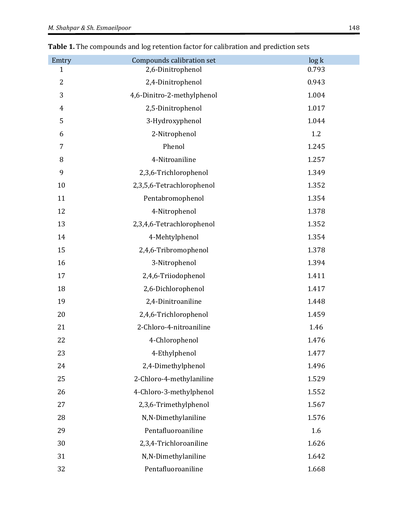| Emtry          | Compounds calibration set  | log k |
|----------------|----------------------------|-------|
| 1              | 2,6-Dinitrophenol          | 0.793 |
| $\overline{2}$ | 2,4-Dinitrophenol          | 0.943 |
| 3              | 4,6-Dinitro-2-methylphenol | 1.004 |
| $\overline{4}$ | 2,5-Dinitrophenol          | 1.017 |
| 5              | 3-Hydroxyphenol            | 1.044 |
| 6              | 2-Nitrophenol              | 1.2   |
| 7              | Phenol                     | 1.245 |
| $\, 8$         | 4-Nitroaniline             | 1.257 |
| 9              | 2,3,6-Trichlorophenol      | 1.349 |
| 10             | 2,3,5,6-Tetrachlorophenol  | 1.352 |
| 11             | Pentabromophenol           | 1.354 |
| 12             | 4-Nitrophenol              | 1.378 |
| 13             | 2,3,4,6-Tetrachlorophenol  | 1.352 |
| 14             | 4-Mehtylphenol             | 1.354 |
| 15             | 2,4,6-Tribromophenol       | 1.378 |
| 16             | 3-Nitrophenol              | 1.394 |
| 17             | 2,4,6-Triiodophenol        | 1.411 |
| 18             | 2,6-Dichlorophenol         | 1.417 |
| 19             | 2,4-Dinitroaniline         | 1.448 |
| 20             | 2,4,6-Trichlorophenol      | 1.459 |
| 21             | 2-Chloro-4-nitroaniline    | 1.46  |
| 22             | 4-Chlorophenol             | 1.476 |
| 23             | 4-Ethylphenol              | 1.477 |
| 24             | 2,4-Dimethylphenol         | 1.496 |
| 25             | 2-Chloro-4-methylaniline   | 1.529 |
| 26             | 4-Chloro-3-methylphenol    | 1.552 |
| 27             | 2,3,6-Trimethylphenol      | 1.567 |
| 28             | N,N-Dimethylaniline        | 1.576 |
| 29             | Pentafluoroaniline         | 1.6   |
| 30             | 2,3,4-Trichloroaniline     | 1.626 |
| 31             | N,N-Dimethylaniline        | 1.642 |
| 32             | Pentafluoroaniline         | 1.668 |

<span id="page-4-0"></span>**Table 1.** The compounds and log retention factor for calibration and prediction sets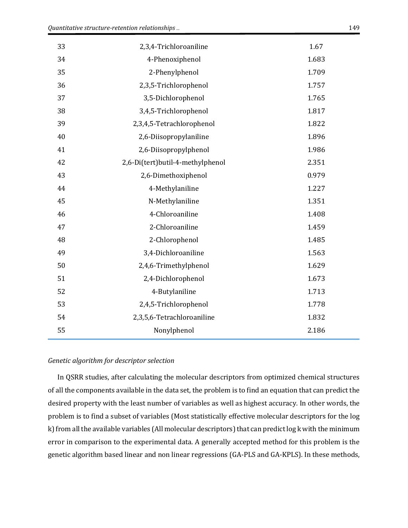| 33 | 2,3,4-Trichloroaniline           | 1.67  |
|----|----------------------------------|-------|
| 34 | 4-Phenoxiphenol                  | 1.683 |
| 35 | 2-Phenylphenol                   | 1.709 |
| 36 | 2,3,5-Trichlorophenol            | 1.757 |
| 37 | 3,5-Dichlorophenol               | 1.765 |
| 38 | 3,4,5-Trichlorophenol            | 1.817 |
| 39 | 2,3,4,5-Tetrachlorophenol        | 1.822 |
| 40 | 2,6-Diisopropylaniline           | 1.896 |
| 41 | 2,6-Diisopropylphenol            | 1.986 |
| 42 | 2,6-Di(tert)butil-4-methylphenol | 2.351 |
| 43 | 2,6-Dimethoxiphenol              | 0.979 |
| 44 | 4-Methylaniline                  | 1.227 |
| 45 | N-Methylaniline                  | 1.351 |
| 46 | 4-Chloroaniline                  | 1.408 |
| 47 | 2-Chloroaniline                  | 1.459 |
| 48 | 2-Chlorophenol                   | 1.485 |
| 49 | 3,4-Dichloroaniline              | 1.563 |
| 50 | 2,4,6-Trimethylphenol            | 1.629 |
| 51 | 2,4-Dichlorophenol               | 1.673 |
| 52 | 4-Butylaniline                   | 1.713 |
| 53 | 2,4,5-Trichlorophenol            | 1.778 |
| 54 | 2,3,5,6-Tetrachloroaniline       | 1.832 |
| 55 | Nonylphenol                      | 2.186 |

#### *Genetic algorithm for descriptor selection*

In QSRR studies, after calculating the molecular descriptors from optimized chemical structures of all the components available in the data set, the problem is to find an equation that can predict the desired property with the least number of variables as well as highest accuracy. In other words, the problem is to find a subset of variables (Most statistically effective molecular descriptors for the log k) from all the available variables (All molecular descriptors) that can predict log k with the minimum error in comparison to the experimental data. A generally accepted method for this problem is the genetic algorithm based linear and non linear regressions (GA-PLS and GA-KPLS). In these methods,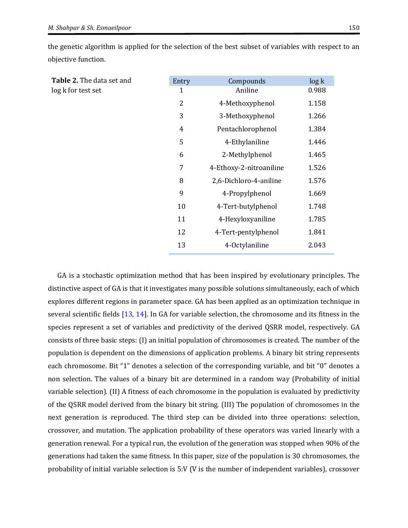|                     |  | the genetic algorithm is applied for the selection of the best subset of variables with respect to an |  |
|---------------------|--|-------------------------------------------------------------------------------------------------------|--|
| objective function. |  |                                                                                                       |  |

<span id="page-6-0"></span>

| Table 2. The data set and | Entry          | Compounds               | log k |
|---------------------------|----------------|-------------------------|-------|
| log k for test set        | 1              | Aniline                 | 0.988 |
|                           | 2              | 4-Methoxyphenol         | 1.158 |
|                           | 3              | 3-Methoxyphenol         | 1.266 |
|                           | $\overline{4}$ | Pentachlorophenol       | 1.384 |
|                           | 5              | 4-Ethylaniline          | 1.446 |
|                           | 6              | 2-Methylphenol          | 1.465 |
|                           | 7              | 4-Ethoxy-2-nitroaniline | 1.526 |
|                           | 8              | 2,6-Dichloro-4-aniline  | 1.576 |
|                           | 9              | 4-Propylphenol          | 1.669 |
|                           | 10             | 4-Tert-butylphenol      | 1.748 |
|                           | 11             | 4-Hexyloxyaniline       | 1.785 |
|                           | 12             | 4-Tert-pentylphenol     | 1.841 |
|                           | 13             | 4-Octylaniline          | 2.043 |

GA is a stochastic optimization method that has been inspired by evolutionary principles. The distinctive aspect of GA is that it investigates many possible solutions simultaneously, each of which explores different regions in parameter space. GA has been applied as an optimization technique in several scientific fields [\[13,](#page-15-3) [14\]](#page-15-4). In GA for variable selection, the chromosome and its fitness in the species represent a set of variables and predictivity of the derived QSRR model, respectively. GA consists of three basic steps: (I) an initial population of chromosomes is created. The number of the population is dependent on the dimensions of application problems. A binary bit string represents each chromosome. Bit "1" denotes a selection of the corresponding variable, and bit "0" denotes a non selection. The values of a binary bit are determined in a random way (Probability of initial variable selection). (II) A fitness of each chromosome in the population is evaluated by predictivity of the QSRR model derived from the binary bit string. (III) The population of chromosomes in the next generation is reproduced. The third step can be divided into three operations: selection, crossover, and mutation. The application probability of these operators was varied linearly with a generation renewal. For a typical run, the evolution of the generation was stopped when 90% of the generations had taken the same fitness. In this paper, size of the population is 30 chromosomes, the probability of initial variable selection is 5:V (V is the number of independent variables), crossover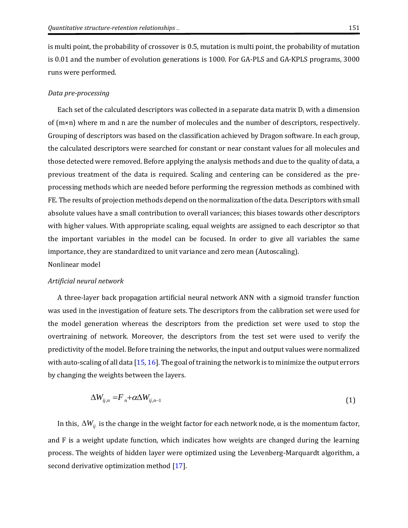is multi point, the probability of crossover is 0.5, mutation is multi point, the probability of mutation is 0.01 and the number of evolution generations is 1000. For GA-PLS and GA-KPLS programs, 3000 runs were performed.

#### *Data pre-processing*

Each set of the calculated descriptors was collected in a separate data matrix  $D_i$  with a dimension of  $(m \times n)$  where m and n are the number of molecules and the number of descriptors, respectively. Grouping of descriptors was based on the classification achieved by Dragon software. In each group, the calculated descriptors were searched for constant or near constant values for all molecules and those detected were removed. Before applying the analysis methods and due to the quality of data, a previous treatment of the data is required. Scaling and centering can be considered as the preprocessing methods which are needed before performing the regression methods as combined with FE. The results of projection methods depend on the normalization of the data. Descriptors with small absolute values have a small contribution to overall variances; this biases towards other descriptors with higher values. With appropriate scaling, equal weights are assigned to each descriptor so that the important variables in the model can be focused. In order to give all variables the same importance, they are standardized to unit variance and zero mean (Autoscaling). Nonlinear model

# *Artificial neural network*

A three-layer back propagation artificial neural network ANN with a sigmoid transfer function was used in the investigation of feature sets. The descriptors from the calibration set were used for the model generation whereas the descriptors from the prediction set were used to stop the overtraining of network. Moreover, the descriptors from the test set were used to verify the predictivity of the model. Before training the networks, the input and output values were normalized with auto-scaling of all data [\[15,](#page-15-5) [16\]](#page-15-6). The goal of training the network is to minimize the output errors by changing the weights between the layers.

$$
\Delta W_{ij,n} = F_n + \alpha \Delta W_{ij,n-1} \tag{1}
$$

In this,  $\Delta W_{ij}$  is the change in the weight factor for each network node,  $\alpha$  is the momentum factor, and F is a weight update function, which indicates how weights are changed during the learning process. The weights of hidden layer were optimized using the Levenberg-Marquardt algorithm, a second derivative optimization method [\[17\]](#page-15-7).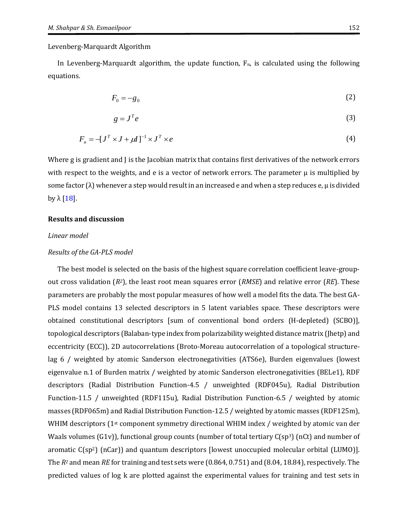Levenberg-Marquardt Algorithm

In Levenberg-Marquardt algorithm, the update function,  $F_n$ , is calculated using the following equations.

$$
F_0 = -g_0 \tag{2}
$$

$$
g = J^T e \tag{3}
$$

$$
F_n = -[J^T \times J + \mu I]^{-1} \times J^T \times e \tag{4}
$$

Where g is gradient and J is the Jacobian matrix that contains first derivatives of the network errors with respect to the weights, and e is a vector of network errors. The parameter  $\mu$  is multiplied by some factor  $(\lambda)$  whenever a step would result in an increased e and when a step reduces e,  $\mu$  is divided by  $\lambda$  [\[18\]](#page-15-8).

#### **Results and discussion**

#### *Linear model*

#### *Results of the GA-PLS model*

The best model is selected on the basis of the highest square correlation coefficient leave-groupout cross validation (*R2*), the least root mean squares error (*RMSE*) and relative error (*RE*). These parameters are probably the most popular measures of how well a model fits the data. The best GA-PLS model contains 13 selected descriptors in 5 latent variables space. These descriptors were obtained constitutional descriptors [sum of conventional bond orders (H-depleted) (SCBO)], topological descriptors (Balaban-type index from polarizability weighted distance matrix (Jhetp) and eccentricity (ECC)), 2D autocorrelations (Broto-Moreau autocorrelation of a topological structurelag 6 / weighted by atomic Sanderson electronegativities (ATS6e), Burden eigenvalues (lowest eigenvalue n.1 of Burden matrix / weighted by atomic Sanderson electronegativities (BELe1), RDF descriptors (Radial Distribution Function-4.5 / unweighted (RDF045u), Radial Distribution Function-11.5 / unweighted (RDF115u), Radial Distribution Function-6.5 / weighted by atomic masses (RDF065m) and Radial Distribution Function-12.5 / weighted by atomic masses (RDF125m), WHIM descriptors  $1^{st}$  component symmetry directional WHIM index / weighted by atomic van der Waals volumes (G1v)), functional group counts (number of total tertiary  $C(sp^3)$  (nCt) and number of aromatic  $C(sp^2)$  (nCar)) and quantum descriptors [lowest unoccupied molecular orbital (LUMO)]. The *R<sup>2</sup>* and mean *RE* for training and test sets were (0.864, 0.751) and (8.04, 18.84), respectively. The predicted values of log k are plotted against the experimental values for training and test sets in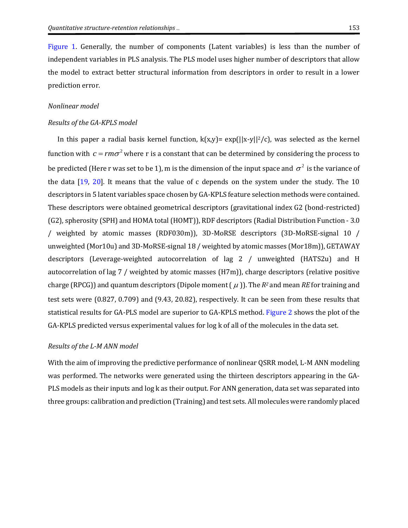[Figure](#page-10-0) 1. Generally, the number of components (Latent variables) is less than the number of independent variables in PLS analysis. The PLS model uses higher number of descriptors that allow the model to extract better structural information from descriptors in order to result in a lower prediction error.

### *Nonlinear model*

#### *Results of the GA-KPLS model*

In this paper a radial basis kernel function,  $k(x,y) = exp(||x-y||^2/c)$ , was selected as the kernel function with  $c = r m \sigma^2$  where r is a constant that can be determined by considering the process to be predicted (Here r was set to be 1), m is the dimension of the input space and  $\sigma^2$  is the variance of the data [\[19,](#page-15-9) [20\]](#page-15-10). It means that the value of c depends on the system under the study. The 10 descriptors in 5 latent variables space chosen by GA-KPLS feature selection methods were contained. These descriptors were obtained geometrical descriptors (gravitational index G2 (bond-restricted) (G2), spherosity (SPH) and HOMA total (HOMT)), RDF descriptors (Radial Distribution Function - 3.0 / weighted by atomic masses (RDF030m)), 3D-MoRSE descriptors (3D-MoRSE-signal 10 / unweighted (Mor10u) and 3D-MoRSE-signal 18 / weighted by atomic masses (Mor18m)), GETAWAY descriptors (Leverage-weighted autocorrelation of lag 2 / unweighted (HATS2u) and H autocorrelation of lag 7 / weighted by atomic masses (H7m)), charge descriptors (relative positive charge (RPCG)) and quantum descriptors (Dipole moment ( $\mu$ )). The *R<sup>2</sup>* and mean *RE* for training and test sets were (0.827, 0.709) and (9.43, 20.82), respectively. It can be seen from these results that statistical results for GA-PLS model are superior to GA-KPLS method. [Figure 2](#page-10-1) shows the plot of the GA-KPLS predicted versus experimental values for log k of all of the molecules in the data set.

#### *Results of the L-M ANN model*

With the aim of improving the predictive performance of nonlinear QSRR model, L-M ANN modeling was performed. The networks were generated using the thirteen descriptors appearing in the GA-PLS models as their inputs and log k as their output. For ANN generation, data set was separated into three groups: calibration and prediction (Training) and test sets. All molecules were randomly placed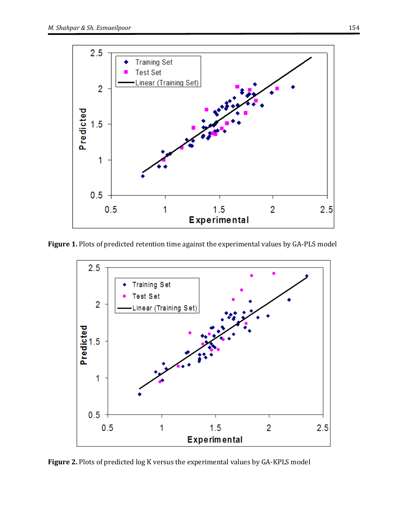

**Figure 1.** Plots of predicted retention time against the experimental values by GA-PLS model

<span id="page-10-0"></span>

<span id="page-10-1"></span>**Figure 2.** Plots of predicted log K versus the experimental values by GA-KPLS model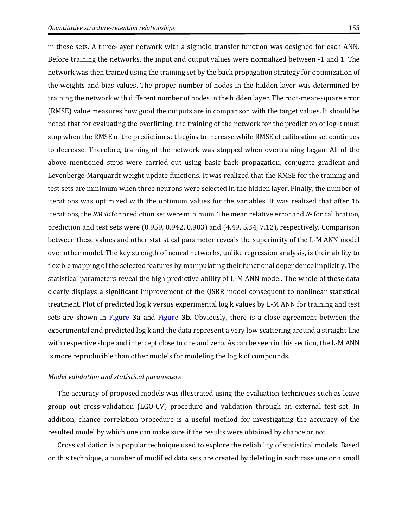in these sets. A three-layer network with a sigmoid transfer function was designed for each ANN. Before training the networks, the input and output values were normalized between -1 and 1. The network was then trained using the training set by the back propagation strategy for optimization of the weights and bias values. The proper number of nodes in the hidden layer was determined by training the network with different number of nodes in the hidden layer. The root-mean-square error (RMSE) value measures how good the outputs are in comparison with the target values. It should be noted that for evaluating the overfitting, the training of the network for the prediction of log k must stop when the RMSE of the prediction set begins to increase while RMSE of calibration set continues to decrease. Therefore, training of the network was stopped when overtraining began. All of the above mentioned steps were carried out using basic back propagation, conjugate gradient and Levenberge-Marquardt weight update functions. It was realized that the RMSE for the training and test sets are minimum when three neurons were selected in the hidden layer. Finally, the number of iterations was optimized with the optimum values for the variables. It was realized that after 16 iterations, the *RMSE* for prediction set were minimum. The mean relative error and *R<sup>2</sup>* for calibration, prediction and test sets were (0.959, 0.942, 0.903) and (4.49, 5.34, 7.12), respectively. Comparison between these values and other statistical parameter reveals the superiority of the L-M ANN model over other model. The key strength of neural networks, unlike regression analysis, is their ability to flexible mapping of the selected features by manipulating their functional dependence implicitly. The statistical parameters reveal the high predictive ability of L-M ANN model. The whole of these data clearly displays a significant improvement of the QSRR model consequent to nonlinear statistical treatment. Plot of predicted log k versus experimental log k values by L-M ANN for training and test sets are shown in [Figure](#page-12-0) **3a** and [Figure](#page-12-0) **3b**. Obviously, there is a close agreement between the experimental and predicted log k and the data represent a very low scattering around a straight line with respective slope and intercept close to one and zero. As can be seen in this section, the L-M ANN is more reproducible than other models for modeling the log k of compounds.

#### *Model validation and statistical parameters*

The accuracy of proposed models was illustrated using the evaluation techniques such as leave group out cross-validation (LGO-CV) procedure and validation through an external test set. In addition, chance correlation procedure is a useful method for investigating the accuracy of the resulted model by which one can make sure if the results were obtained by chance or not.

Cross validation is a popular technique used to explore the reliability of statistical models. Based on this technique, a number of modified data sets are created by deleting in each case one or a small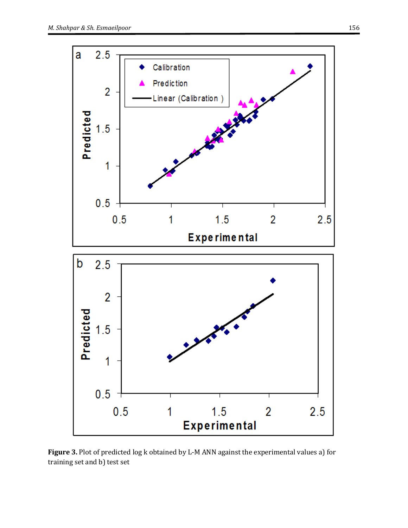

<span id="page-12-0"></span>**Figure 3.** Plot of predicted log k obtained by L-M ANN against the experimental values a) for training set and b) test set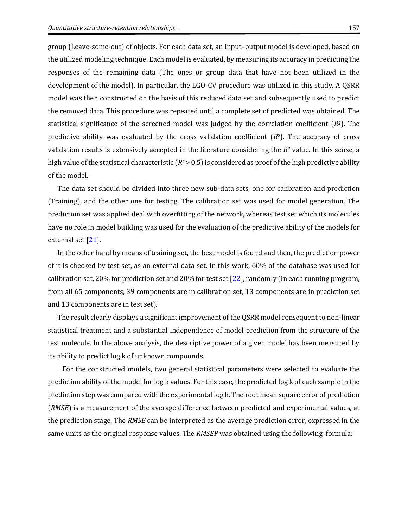group (Leave-some-out) of objects. For each data set, an input–output model is developed, based on the utilized modeling technique. Each model is evaluated, by measuring its accuracy in predicting the responses of the remaining data (The ones or group data that have not been utilized in the development of the model). In particular, the LGO-CV procedure was utilized in this study. A QSRR model was then constructed on the basis of this reduced data set and subsequently used to predict the removed data. This procedure was repeated until a complete set of predicted was obtained. The statistical significance of the screened model was judged by the correlation coefficient (*R2*). The predictive ability was evaluated by the cross validation coefficient (*R2*). The accuracy of cross validation results is extensively accepted in the literature considering the *R<sup>2</sup>* value. In this sense, a high value of the statistical characteristic ( $R^2$  > 0.5) is considered as proof of the high predictive ability of the model.

The data set should be divided into three new sub-data sets, one for calibration and prediction (Training), and the other one for testing. The calibration set was used for model generation. The prediction set was applied deal with overfitting of the network, whereas test set which its molecules have no role in model building was used for the evaluation of the predictive ability of the models for external set [\[21\]](#page-15-11).

In the other hand by means of training set, the best model is found and then, the prediction power of it is checked by test set, as an external data set. In this work, 60% of the database was used for calibration set, 20% for prediction set and 20% for test set [\[22\]](#page-15-12), randomly (In each running program, from all 65 components, 39 components are in calibration set, 13 components are in prediction set and 13 components are in test set).

The result clearly displays a significant improvement of the QSRR model consequent to non-linear statistical treatment and a substantial independence of model prediction from the structure of the test molecule. In the above analysis, the descriptive power of a given model has been measured by its ability to predict log k of unknown compounds.

 For the constructed models, two general statistical parameters were selected to evaluate the prediction ability of the model for log k values. For this case, the predicted log k of each sample in the prediction step was compared with the experimental log k. The root mean square error of prediction (*RMSE*) is a measurement of the average difference between predicted and experimental values, at the prediction stage. The *RMSE* can be interpreted as the average prediction error, expressed in the same units as the original response values. The *RMSEP* was obtained using the following formula: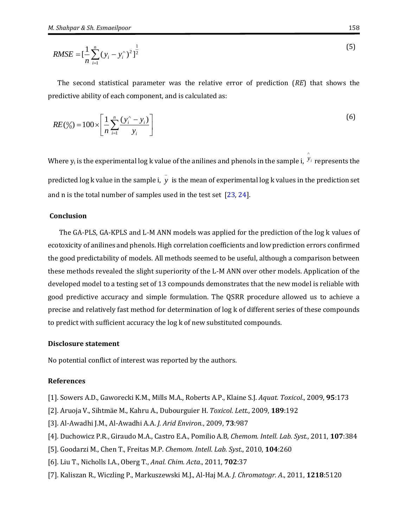$$
RMSE = \left[\frac{1}{n}\sum_{i=1}^{n} (y_i - y_i)^2\right]^{\frac{1}{2}}
$$
\n(5)

The second statistical parameter was the relative error of prediction (*RE*) that shows the predictive ability of each component, and is calculated as:

$$
RE(\%) = 100 \times \left[ \frac{1}{n} \sum_{i=1}^{n} \frac{(y_i^{\land} - y_i)}{y_i} \right]
$$
 (6)

Where  $y_i$  is the experimental log  $k$  value of the anilines and phenols in the sample i,  $y_i$  represents the predicted log k value in the sample i, y is the mean of experimental log k values in the prediction set and n is the total number of samples used in the test set [\[23,](#page-15-13) [24\]](#page-15-14).

# **Conclusion**

The GA-PLS, GA-KPLS and L-M ANN models was applied for the prediction of the log k values of ecotoxicity of anilines and phenols. High correlation coefficients and low prediction errors confirmed the good predictability of models. All methods seemed to be useful, although a comparison between these methods revealed the slight superiority of the L-M ANN over other models. Application of the developed model to a testing set of 13 compounds demonstrates that the new model is reliable with good predictive accuracy and simple formulation. The QSRR procedure allowed us to achieve a precise and relatively fast method for determination of log k of different series of these compounds to predict with sufficient accuracy the log k of new substituted compounds.

### **Disclosure statement**

No potential conflict of interest was reported by the authors.

# **References**

- <span id="page-14-0"></span>[1]. Sowers A.D., Gaworecki K.M., Mills M.A., Roberts A.P., Klaine S.J. *Aquat. Toxicol*., 2009, **95**:173
- <span id="page-14-1"></span>[2]. Aruoja V., Sihtmäe M., Kahru A., Dubourguier H. *Toxicol. Lett.*, 2009, **189**:192
- <span id="page-14-2"></span>[3]. Al-Awadhi J.M., Al-Awadhi A.A. *J. Arid Environ.*, 2009, **73**:987
- <span id="page-14-3"></span>[4]. Duchowicz P.R., Giraudo M.A., Castro E.A., Pomilio A.B, *Chemom. Intell. Lab. Syst.*, 2011, **107**:384
- <span id="page-14-4"></span>[5]. Goodarzi M., Chen T., Freitas M.P. *Chemom. Intell. Lab. Syst*., 2010, **104**:260
- <span id="page-14-5"></span>[6]. Liu T., Nicholls I.A., Oberg T., *Anal. Chim. Acta*., 2011, **702**:37
- [7]. Kaliszan R., Wiczling P., Markuszewski M.J., Al-Haj M.A. *J. Chromatogr. A*., 2011, **1218**:5120

^